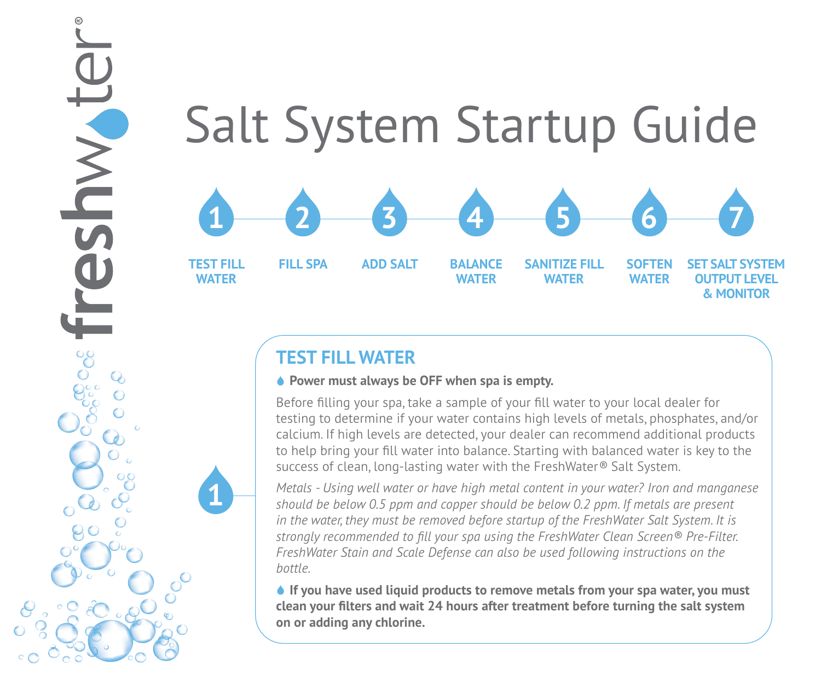#### Salt System Startup Guide **TEST FILL WATER FILL SPA ADD SALT BALANCE WATER SANITIZE FILL WATER SOFTEN WATER SET SALT SYSTEM OUTPUT LEVEL 1 2 3 4 5 6 7**

# **TEST FILL WATER**

**1**

JWVIDS

#### **◆ Power must always be OFF when spa is empty.**

Before filling your spa, take a sample of your fill water to your local dealer for testing to determine if your water contains high levels of metals, phosphates, and/or calcium. If high levels are detected, your dealer can recommend additional products to help bring your fill water into balance. Starting with balanced water is key to the success of clean, long-lasting water with the FreshWater*®* Salt System.

**& MONITOR**

*Metals - Using well water or have high metal content in your water? Iron and manganese should be below 0.5 ppm and copper should be below 0.2 ppm. If metals are present in the water, they must be removed before startup of the FreshWater Salt System. It is strongly recommended to fill your spa using the FreshWater Clean Screen® Pre-Filter. FreshWater Stain and Scale Defense can also be used following instructions on the bottle.* 

 **If you have used liquid products to remove metals from your spa water, you must clean your filters and wait 24 hours after treatment before turning the salt system on or adding any chlorine.**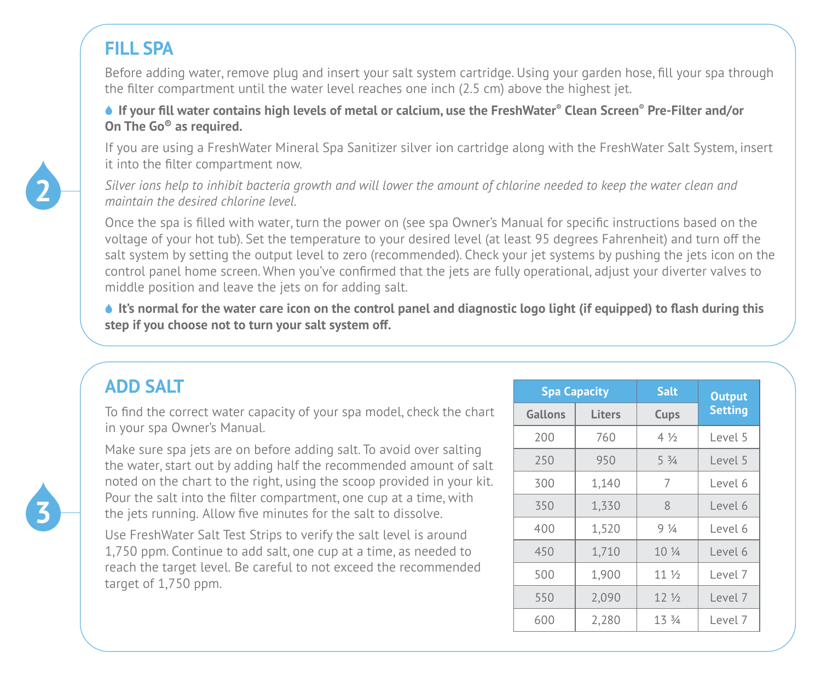## **FILL SPA**

Before adding water, remove plug and insert your salt system cartridge. Using your garden hose, fill your spa through the filter compartment until the water level reaches one inch (2.5 cm) above the highest jet.

 **If your fill water contains high levels of metal or calcium, use the FreshWater® Clean Screen® Pre-Filter and/or On The Go® as required.** 

If you are using a FreshWater Mineral Spa Sanitizer silver ion cartridge along with the FreshWater Salt System, insert it into the filter compartment now.

*Silver ions help to inhibit bacteria growth and will lower the amount of chlorine needed to keep the water clean and maintain the desired chlorine level.* 

Once the spa is filled with water, turn the power on (see spa Owner's Manual for specific instructions based on the voltage of your hot tub). Set the temperature to your desired level (at least 95 degrees Fahrenheit) and turn off the salt system by setting the output level to zero (recommended). Check your jet systems by pushing the jets icon on the control panel home screen. When you've confirmed that the jets are fully operational, adjust your diverter valves to middle position and leave the jets on for adding salt.

 **It's normal for the water care icon on the control panel and diagnostic logo light (if equipped) to flash during this step if you choose not to turn your salt system off.** 

| <b>ADD SALT</b>                                                                                                                           |         | <b>Spa Capacity</b> |                 | <b>Output</b>  |
|-------------------------------------------------------------------------------------------------------------------------------------------|---------|---------------------|-----------------|----------------|
| To find the correct water capacity of your spa model, check the chart                                                                     | Gallons | <b>Liters</b>       | Cups            | <b>Setting</b> |
| in your spa Owner's Manual.                                                                                                               | 200     | 760                 | $4\frac{1}{2}$  | Level 5        |
| Make sure spa jets are on before adding salt. To avoid over salting<br>the water, start out by adding half the recommended amount of salt | 250     | 950                 | $5\frac{3}{4}$  | Level 5        |
| noted on the chart to the right, using the scoop provided in your kit.                                                                    | 300     | 1.140               | 7               | Level 6        |
| Pour the salt into the filter compartment, one cup at a time, with<br>the jets running. Allow five minutes for the salt to dissolve.      |         | 1,330               | 8               | Level 6        |
| Use FreshWater Salt Test Strips to verify the salt level is around                                                                        | 400     | 1,520               | $9\frac{1}{4}$  | Level 6        |
| 1,750 ppm. Continue to add salt, one cup at a time, as needed to                                                                          | 450     | 1,710               | 10 1/4          | Level 6        |
| reach the target level. Be careful to not exceed the recommended<br>target of 1,750 ppm.                                                  | 500     | 1.900               | 11 <sub>2</sub> | Level 7        |
|                                                                                                                                           | 550     | 2,090               | 12 <sub>2</sub> | Level 7        |
|                                                                                                                                           | 600     | 2,280               | 13 3/4          | Level 7        |



**2**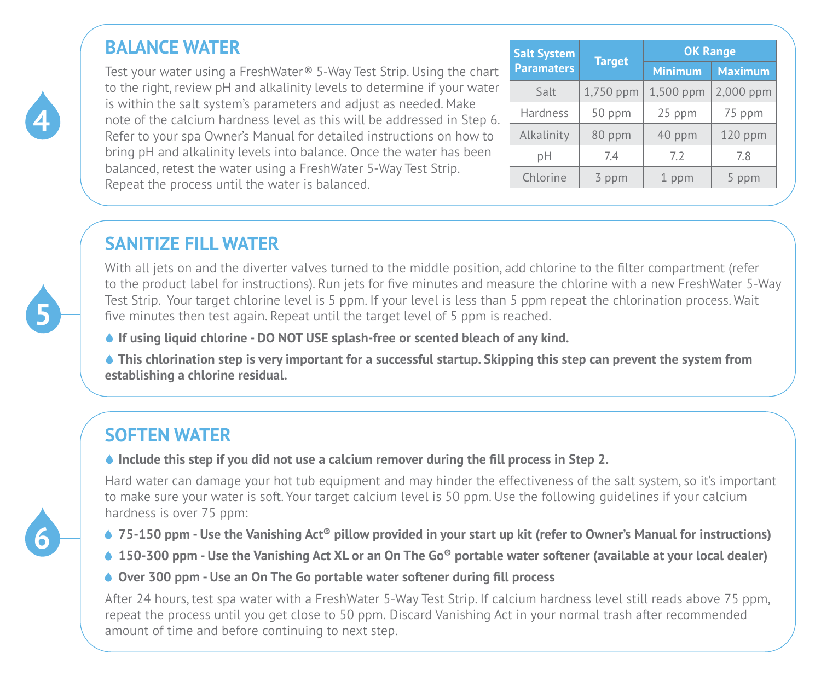## **BALANCE WATER**

Test your water using a FreshWater*®* 5-Way Test Strip. Using the chart to the right, review pH and alkalinity levels to determine if your water is within the salt system's parameters and adjust as needed. Make note of the calcium hardness level as this will be addressed in Step 6. Refer to your spa Owner's Manual for detailed instructions on how to bring pH and alkalinity levels into balance. Once the water has been balanced, retest the water using a FreshWater 5-Way Test Strip. Repeat the process until the water is balanced.

| <b>Salt System</b> | <b>Target</b> | <b>OK Range</b> |                |  |
|--------------------|---------------|-----------------|----------------|--|
| <b>Paramaters</b>  |               |                 | <b>Maximum</b> |  |
| Salt               | 1,750 ppm     | 1,500 ppm       | 2,000 ppm      |  |
| Hardness           | 50 ppm        | 25 ppm          | 75 ppm         |  |
| Alkalinity         | 80 ppm        | 40 ppm          | $120$ ppm      |  |
| pН                 | 7.4           | 7.2             | 7.8            |  |
| Chlorine           | 3 ppm         | 1 ppm           |                |  |

## **SANITIZE FILL WATER**

With all jets on and the diverter valves turned to the middle position, add chlorine to the filter compartment (refer to the product label for instructions). Run jets for five minutes and measure the chlorine with a new FreshWater 5-Way Test Strip. Your target chlorine level is 5 ppm. If your level is less than 5 ppm repeat the chlorination process. Wait five minutes then test again. Repeat until the target level of 5 ppm is reached.

 **If using liquid chlorine - DO NOT USE splash-free or scented bleach of any kind.**

 **This chlorination step is very important for a successful startup. Skipping this step can prevent the system from establishing a chlorine residual.**

# **SOFTEN WATER**

#### **↓** Include this step if you did not use a calcium remover during the fill process in Step 2.

Hard water can damage your hot tub equipment and may hinder the effectiveness of the salt system, so it's important to make sure your water is soft. Your target calcium level is 50 ppm. Use the following guidelines if your calcium hardness is over 75 ppm:

- **75-150 ppm Use the Vanishing Act<sup>®</sup> pillow provided in your start up kit (refer to Owner's Manual for instructions)**
- **150-300 ppm Use the Vanishing Act XL or an On The Go® portable water softener (available at your local dealer)**
- **Over 300 ppm Use an On The Go portable water softener during fill process**

After 24 hours, test spa water with a FreshWater 5-Way Test Strip. If calcium hardness level still reads above 75 ppm, repeat the process until you get close to 50 ppm. Discard Vanishing Act in your normal trash after recommended amount of time and before continuing to next step.



**4**